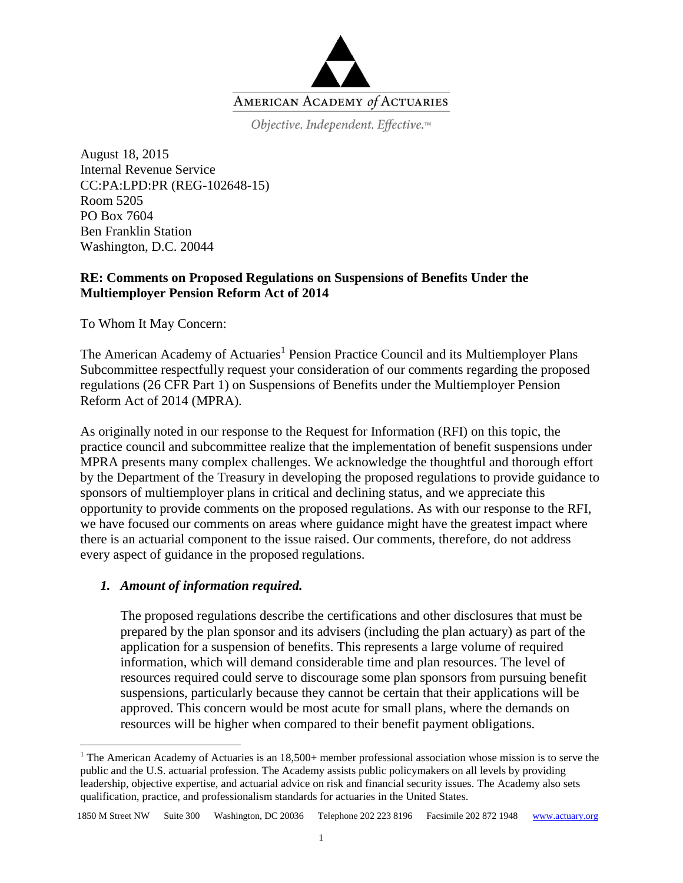

Objective. Independent. Effective.™

August 18, 2015 Internal Revenue Service CC:PA:LPD:PR (REG-102648-15) Room 5205 PO Box 7604 Ben Franklin Station Washington, D.C. 20044

# **RE: Comments on Proposed Regulations on Suspensions of Benefits Under the Multiemployer Pension Reform Act of 2014**

To Whom It May Concern:

The American Academy of Actuaries<sup>1</sup> Pension Practice Council and its Multiemployer Plans Subcommittee respectfully request your consideration of our comments regarding the proposed regulations (26 CFR Part 1) on Suspensions of Benefits under the Multiemployer Pension Reform Act of 2014 (MPRA).

As originally noted in our response to the Request for Information (RFI) on this topic, the practice council and subcommittee realize that the implementation of benefit suspensions under MPRA presents many complex challenges. We acknowledge the thoughtful and thorough effort by the Department of the Treasury in developing the proposed regulations to provide guidance to sponsors of multiemployer plans in critical and declining status, and we appreciate this opportunity to provide comments on the proposed regulations. As with our response to the RFI, we have focused our comments on areas where guidance might have the greatest impact where there is an actuarial component to the issue raised. Our comments, therefore, do not address every aspect of guidance in the proposed regulations.

### *1. Amount of information required.*

 $\overline{a}$ 

The proposed regulations describe the certifications and other disclosures that must be prepared by the plan sponsor and its advisers (including the plan actuary) as part of the application for a suspension of benefits. This represents a large volume of required information, which will demand considerable time and plan resources. The level of resources required could serve to discourage some plan sponsors from pursuing benefit suspensions, particularly because they cannot be certain that their applications will be approved. This concern would be most acute for small plans, where the demands on resources will be higher when compared to their benefit payment obligations.

<sup>&</sup>lt;sup>1</sup> The American Academy of Actuaries is an  $18,500+$  member professional association whose mission is to serve the public and the U.S. actuarial profession. The Academy assists public policymakers on all levels by providing leadership, objective expertise, and actuarial advice on risk and financial security issues. The Academy also sets qualification, practice, and professionalism standards for actuaries in the United States.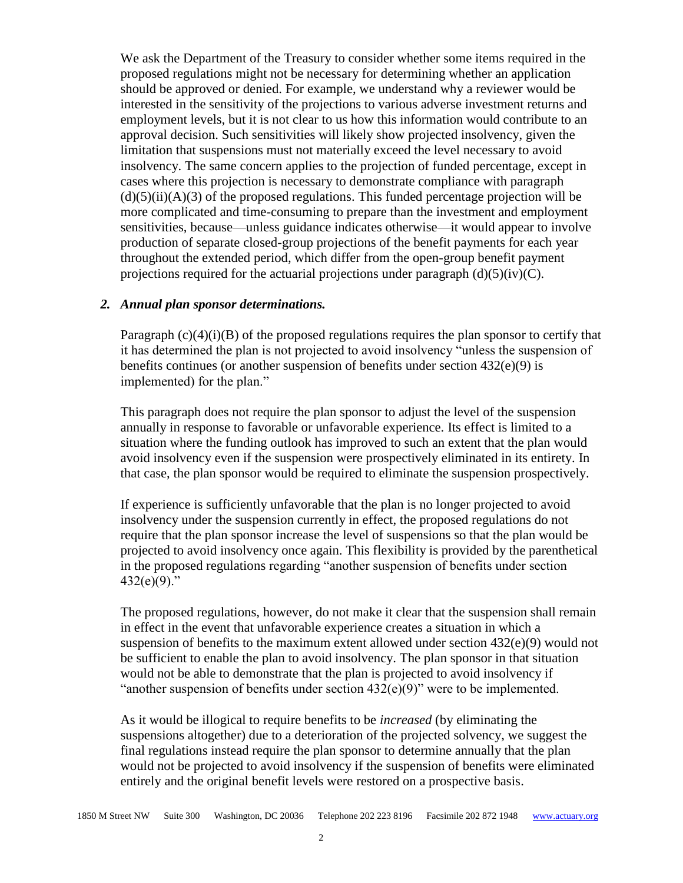We ask the Department of the Treasury to consider whether some items required in the proposed regulations might not be necessary for determining whether an application should be approved or denied. For example, we understand why a reviewer would be interested in the sensitivity of the projections to various adverse investment returns and employment levels, but it is not clear to us how this information would contribute to an approval decision. Such sensitivities will likely show projected insolvency, given the limitation that suspensions must not materially exceed the level necessary to avoid insolvency. The same concern applies to the projection of funded percentage, except in cases where this projection is necessary to demonstrate compliance with paragraph  $(d)(5)(ii)(A)(3)$  of the proposed regulations. This funded percentage projection will be more complicated and time-consuming to prepare than the investment and employment sensitivities, because—unless guidance indicates otherwise—it would appear to involve production of separate closed-group projections of the benefit payments for each year throughout the extended period, which differ from the open-group benefit payment projections required for the actuarial projections under paragraph  $(d)(5)(iv)(C)$ .

#### *2. Annual plan sponsor determinations.*

Paragraph  $(c)(4)(i)(B)$  of the proposed regulations requires the plan sponsor to certify that it has determined the plan is not projected to avoid insolvency "unless the suspension of benefits continues (or another suspension of benefits under section  $432(e)(9)$  is implemented) for the plan."

This paragraph does not require the plan sponsor to adjust the level of the suspension annually in response to favorable or unfavorable experience. Its effect is limited to a situation where the funding outlook has improved to such an extent that the plan would avoid insolvency even if the suspension were prospectively eliminated in its entirety. In that case, the plan sponsor would be required to eliminate the suspension prospectively.

If experience is sufficiently unfavorable that the plan is no longer projected to avoid insolvency under the suspension currently in effect, the proposed regulations do not require that the plan sponsor increase the level of suspensions so that the plan would be projected to avoid insolvency once again. This flexibility is provided by the parenthetical in the proposed regulations regarding "another suspension of benefits under section  $432(e)(9)$ ."

The proposed regulations, however, do not make it clear that the suspension shall remain in effect in the event that unfavorable experience creates a situation in which a suspension of benefits to the maximum extent allowed under section  $432(e)(9)$  would not be sufficient to enable the plan to avoid insolvency. The plan sponsor in that situation would not be able to demonstrate that the plan is projected to avoid insolvency if "another suspension of benefits under section  $432(e)(9)$ " were to be implemented.

As it would be illogical to require benefits to be *increased* (by eliminating the suspensions altogether) due to a deterioration of the projected solvency, we suggest the final regulations instead require the plan sponsor to determine annually that the plan would not be projected to avoid insolvency if the suspension of benefits were eliminated entirely and the original benefit levels were restored on a prospective basis.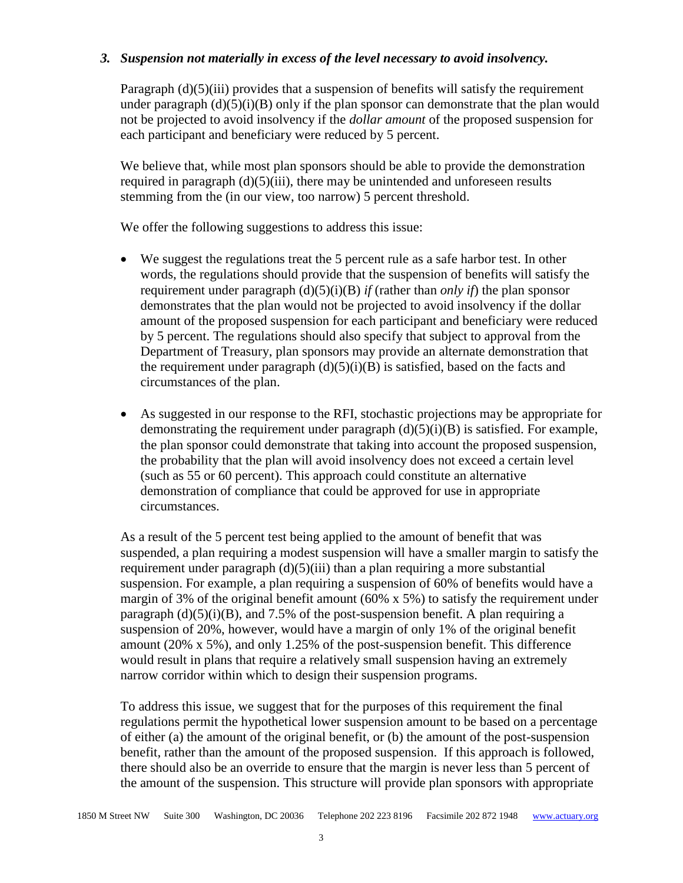### *3. Suspension not materially in excess of the level necessary to avoid insolvency.*

Paragraph (d)(5)(iii) provides that a suspension of benefits will satisfy the requirement under paragraph  $(d)(5)(i)(B)$  only if the plan sponsor can demonstrate that the plan would not be projected to avoid insolvency if the *dollar amount* of the proposed suspension for each participant and beneficiary were reduced by 5 percent.

We believe that, while most plan sponsors should be able to provide the demonstration required in paragraph  $(d)(5)(iii)$ , there may be unintended and unforeseen results stemming from the (in our view, too narrow) 5 percent threshold.

We offer the following suggestions to address this issue:

- We suggest the regulations treat the 5 percent rule as a safe harbor test. In other words, the regulations should provide that the suspension of benefits will satisfy the requirement under paragraph  $(d)(5)(i)(B)$  *if* (rather than *only if*) the plan sponsor demonstrates that the plan would not be projected to avoid insolvency if the dollar amount of the proposed suspension for each participant and beneficiary were reduced by 5 percent. The regulations should also specify that subject to approval from the Department of Treasury, plan sponsors may provide an alternate demonstration that the requirement under paragraph  $(d)(5)(i)(B)$  is satisfied, based on the facts and circumstances of the plan.
- As suggested in our response to the RFI, stochastic projections may be appropriate for demonstrating the requirement under paragraph  $(d)(5)(i)(B)$  is satisfied. For example, the plan sponsor could demonstrate that taking into account the proposed suspension, the probability that the plan will avoid insolvency does not exceed a certain level (such as 55 or 60 percent). This approach could constitute an alternative demonstration of compliance that could be approved for use in appropriate circumstances.

As a result of the 5 percent test being applied to the amount of benefit that was suspended, a plan requiring a modest suspension will have a smaller margin to satisfy the requirement under paragraph  $(d)(5)(iii)$  than a plan requiring a more substantial suspension. For example, a plan requiring a suspension of 60% of benefits would have a margin of 3% of the original benefit amount  $(60\% \times 5\%)$  to satisfy the requirement under paragraph  $(d)(5)(i)(B)$ , and 7.5% of the post-suspension benefit. A plan requiring a suspension of 20%, however, would have a margin of only 1% of the original benefit amount (20%  $\times$  5%), and only 1.25% of the post-suspension benefit. This difference would result in plans that require a relatively small suspension having an extremely narrow corridor within which to design their suspension programs.

To address this issue, we suggest that for the purposes of this requirement the final regulations permit the hypothetical lower suspension amount to be based on a percentage of either (a) the amount of the original benefit, or (b) the amount of the post-suspension benefit, rather than the amount of the proposed suspension. If this approach is followed, there should also be an override to ensure that the margin is never less than 5 percent of the amount of the suspension. This structure will provide plan sponsors with appropriate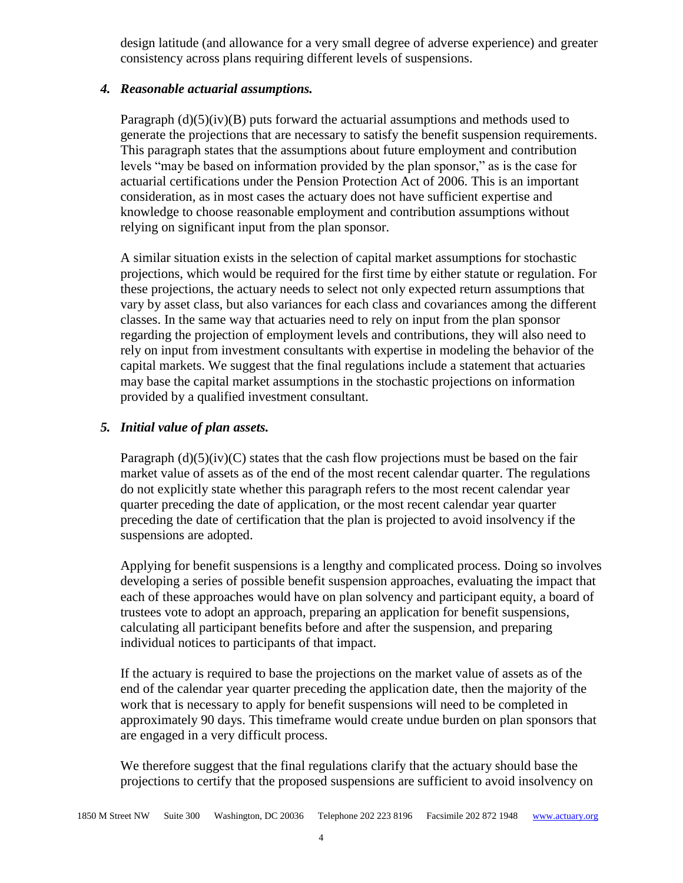design latitude (and allowance for a very small degree of adverse experience) and greater consistency across plans requiring different levels of suspensions.

## *4. Reasonable actuarial assumptions.*

Paragraph  $(d)(5)(iv)(B)$  puts forward the actuarial assumptions and methods used to generate the projections that are necessary to satisfy the benefit suspension requirements. This paragraph states that the assumptions about future employment and contribution levels "may be based on information provided by the plan sponsor," as is the case for actuarial certifications under the Pension Protection Act of 2006. This is an important consideration, as in most cases the actuary does not have sufficient expertise and knowledge to choose reasonable employment and contribution assumptions without relying on significant input from the plan sponsor.

A similar situation exists in the selection of capital market assumptions for stochastic projections, which would be required for the first time by either statute or regulation. For these projections, the actuary needs to select not only expected return assumptions that vary by asset class, but also variances for each class and covariances among the different classes. In the same way that actuaries need to rely on input from the plan sponsor regarding the projection of employment levels and contributions, they will also need to rely on input from investment consultants with expertise in modeling the behavior of the capital markets. We suggest that the final regulations include a statement that actuaries may base the capital market assumptions in the stochastic projections on information provided by a qualified investment consultant.

## *5. Initial value of plan assets.*

Paragraph  $(d)(5)(iv)(C)$  states that the cash flow projections must be based on the fair market value of assets as of the end of the most recent calendar quarter. The regulations do not explicitly state whether this paragraph refers to the most recent calendar year quarter preceding the date of application, or the most recent calendar year quarter preceding the date of certification that the plan is projected to avoid insolvency if the suspensions are adopted.

Applying for benefit suspensions is a lengthy and complicated process. Doing so involves developing a series of possible benefit suspension approaches, evaluating the impact that each of these approaches would have on plan solvency and participant equity, a board of trustees vote to adopt an approach, preparing an application for benefit suspensions, calculating all participant benefits before and after the suspension, and preparing individual notices to participants of that impact.

If the actuary is required to base the projections on the market value of assets as of the end of the calendar year quarter preceding the application date, then the majority of the work that is necessary to apply for benefit suspensions will need to be completed in approximately 90 days. This timeframe would create undue burden on plan sponsors that are engaged in a very difficult process.

We therefore suggest that the final regulations clarify that the actuary should base the projections to certify that the proposed suspensions are sufficient to avoid insolvency on